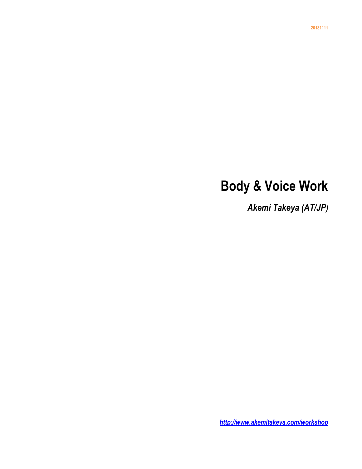# **Body & Voice Work**

*Akemi Takeya (AT/JP)*

*http://www.akemitakeya.com/workshop*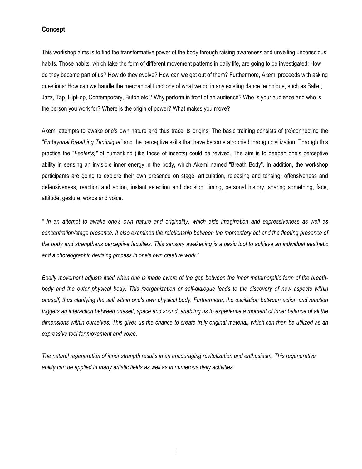## **Concept**

This workshop aims is to find the transformative power of the body through raising awareness and unveiling unconscious habits. Those habits, which take the form of different movement patterns in daily life, are going to be investigated: How do they become part of us? How do they evolve? How can we get out of them? Furthermore, Akemi proceeds with asking questions: How can we handle the mechanical functions of what we do in any existing dance technique, such as Ballet, Jazz, Tap, HipHop, Contemporary, Butoh etc.? Why perform in front of an audience? Who is your audience and who is the person you work for? Where is the origin of power? What makes you move?

Akemi attempts to awake one's own nature and thus trace its origins. The basic training consists of (re)connecting the *"Embryonal Breathing Technique"* and the perceptive skills that have become atrophied through civilization. Through this practice the "*Feeler(s)"* of humankind (like those of insects) could be revived. The aim is to deepen one's perceptive ability in sensing an invisible inner energy in the body, which Akemi named "Breath Body". In addition, the workshop participants are going to explore their own presence on stage, articulation, releasing and tensing, offensiveness and defensiveness, reaction and action, instant selection and decision, timing, personal history, sharing something, face, attitude, gesture, words and voice.

*" In an attempt to awake one's own nature and originality, which aids imagination and expressiveness as well as concentration/stage presence. It also examines the relationship between the momentary act and the fleeting presence of the body and strengthens perceptive faculties. This sensory awakening is a basic tool to achieve an individual aesthetic and a choreographic devising process in one's own creative work."*

*Bodily movement adjusts itself when one is made aware of the gap between the inner metamorphic form of the breathbody and the outer physical body. This reorganization or self-dialogue leads to the discovery of new aspects within oneself, thus clarifying the self within one's own physical body. Furthermore, the oscillation between action and reaction triggers an interaction between oneself, space and sound, enabling us to experience a moment of inner balance of all the dimensions within ourselves. This gives us the chance to create truly original material, which can then be utilized as an expressive tool for movement and voice.*

*The natural regeneration of inner strength results in an encouraging revitalization and enthusiasm. This regenerative ability can be applied in many artistic fields as well as in numerous daily activities.*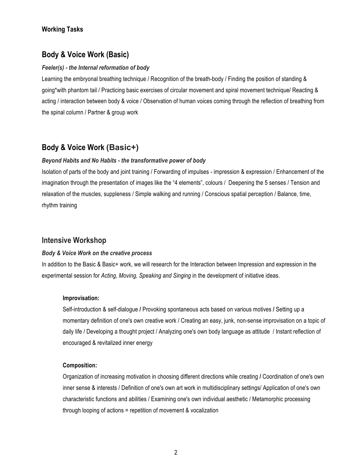# **Working Tasks**

# **Body & Voice Work (Basic)**

## *Feeler(s) - the Internal reformation of body*

Learning the embryonal breathing technique / Recognition of the breath-body / Finding the position of standing & going\*with phantom tail / Practicing basic exercises of circular movement and spiral movement technique/ Reacting & acting / interaction between body & voice / Observation of human voices coming through the reflection of breathing from the spinal column / Partner & group work

# **Body & Voice Work (Basic+)**

## *Beyond Habits and No Habits - the transformative power of body*

Isolation of parts of the body and joint training / Forwarding of impulses - impression & expression / Enhancement of the imagination through the presentation of images like the "4 elements", colours / Deepening the 5 senses / Tension and relaxation of the muscles, suppleness / Simple walking and running / Conscious spatial perception / Balance, time, rhythm training

# **Intensive Workshop**

## *Body & Voice Work on the creative process*

In addition to the Basic & Basic+ work, we will research for the Interaction between Impression and expression in the experimental session for *Acting, Moving, Speaking and Singing* in the development of initiative ideas.

## **Improvisation:**

Self-introduction & self-dialogue **/** Provoking spontaneous acts based on various motives **/** Setting up a momentary definition of one's own creative work / Creating an easy, junk, non-sense improvisation on a topic of daily life / Developing a thought project / Analyzing one's own body language as attitude / Instant reflection of encouraged & revitalized inner energy

## **Composition:**

Organization of increasing motivation in choosing different directions while creating **/** Coordination of one's own inner sense & interests / Definition of one's own art work in multidisciplinary settings/ Application of one's own characteristic functions and abilities / Examining one's own individual aesthetic / Metamorphic processing through looping of actions = repetition of movement & vocalization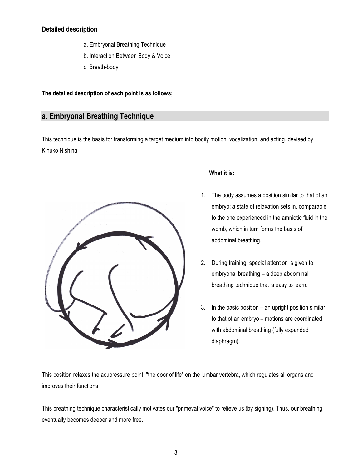# **Detailed description**

- a. Embryonal Breathing Technique
- b. Interaction Between Body & Voice
- c. Breath-body

**The detailed description of each point is as follows;**

# **a. Embryonal Breathing Technique**

This technique is the basis for transforming a target medium into bodily motion, vocalization, and acting. devised by Kinuko Nishina



# **What it is:**

- 1. The body assumes a position similar to that of an embryo; a state of relaxation sets in, comparable to the one experienced in the amniotic fluid in the womb, which in turn forms the basis of abdominal breathing.
- 2. During training, special attention is given to embryonal breathing – a deep abdominal breathing technique that is easy to learn.
- 3. In the basic position an upright position similar to that of an embryo – motions are coordinated with abdominal breathing (fully expanded diaphragm).

This position relaxes the acupressure point, "the door of life" on the lumbar vertebra, which regulates all organs and improves their functions.

This breathing technique characteristically motivates our "primeval voice" to relieve us (by sighing). Thus, our breathing eventually becomes deeper and more free.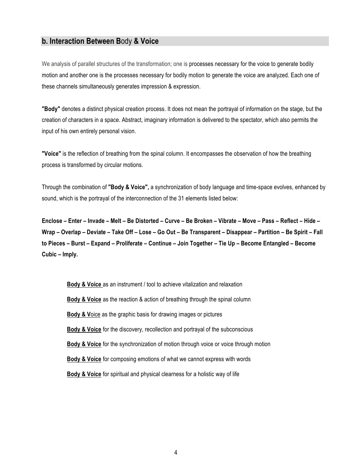# **b. Interaction Between B**ody **& Voice**

We analysis of parallel structures of the transformation; one is processes necessary for the voice to generate bodily motion and another one is the processes necessary for bodily motion to generate the voice are analyzed. Each one of these channels simultaneously generates impression & expression.

**"Body"** denotes a distinct physical creation process. It does not mean the portrayal of information on the stage, but the creation of characters in a space. Abstract, imaginary information is delivered to the spectator, which also permits the input of his own entirely personal vision.

**"Voice"** is the reflection of breathing from the spinal column. It encompasses the observation of how the breathing process is transformed by circular motions.

Through the combination of **"Body & Voice",** a synchronization of body language and time-space evolves, enhanced by sound, which is the portrayal of the interconnection of the 31 elements listed below:

**Enclose – Enter – Invade – Melt – Be Distorted – Curve – Be Broken – Vibrate – Move – Pass – Reflect – Hide – Wrap – Overlap – Deviate – Take Off – Lose – Go Out – Be Transparent – Disappear – Partition – Be Spirit – Fall to Pieces – Burst – Expand – Proliferate – Continue – Join Together – Tie Up – Become Entangled – Become Cubic – Imply.**

**Body & Voice** as an instrument / tool to achieve vitalization and relaxation **Body & Voice** as the reaction & action of breathing through the spinal column **Body & V**oice as the graphic basis for drawing images or pictures **Body & Voice** for the discovery, recollection and portrayal of the subconscious **Body & Voice** for the synchronization of motion through voice or voice through motion **Body & Voice** for composing emotions of what we cannot express with words **Body & Voice** for spiritual and physical clearness for a holistic way of life